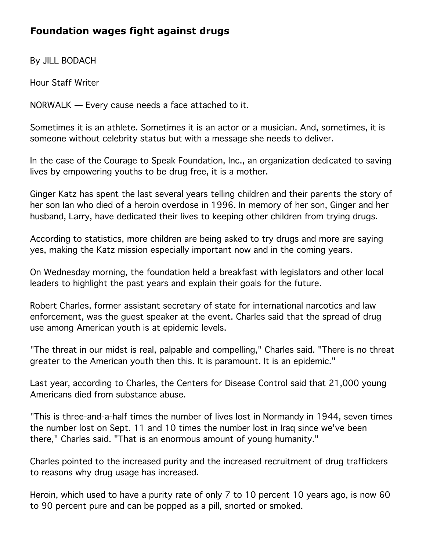## **Foundation wages fight against drugs**

By JILL BODACH

Hour Staff Writer

NORWALK — Every cause needs a face attached to it.

Sometimes it is an athlete. Sometimes it is an actor or a musician. And, sometimes, it is someone without celebrity status but with a message she needs to deliver.

In the case of the Courage to Speak Foundation, Inc., an organization dedicated to saving lives by empowering youths to be drug free, it is a mother.

Ginger Katz has spent the last several years telling children and their parents the story of her son Ian who died of a heroin overdose in 1996. In memory of her son, Ginger and her husband, Larry, have dedicated their lives to keeping other children from trying drugs.

According to statistics, more children are being asked to try drugs and more are saying yes, making the Katz mission especially important now and in the coming years.

On Wednesday morning, the foundation held a breakfast with legislators and other local leaders to highlight the past years and explain their goals for the future.

Robert Charles, former assistant secretary of state for international narcotics and law enforcement, was the guest speaker at the event. Charles said that the spread of drug use among American youth is at epidemic levels.

"The threat in our midst is real, palpable and compelling," Charles said. "There is no threat greater to the American youth then this. It is paramount. It is an epidemic."

Last year, according to Charles, the Centers for Disease Control said that 21,000 young Americans died from substance abuse.

"This is three-and-a-half times the number of lives lost in Normandy in 1944, seven times the number lost on Sept. 11 and 10 times the number lost in Iraq since we've been there," Charles said. "That is an enormous amount of young humanity."

Charles pointed to the increased purity and the increased recruitment of drug traffickers to reasons why drug usage has increased.

Heroin, which used to have a purity rate of only 7 to 10 percent 10 years ago, is now 60 to 90 percent pure and can be popped as a pill, snorted or smoked.